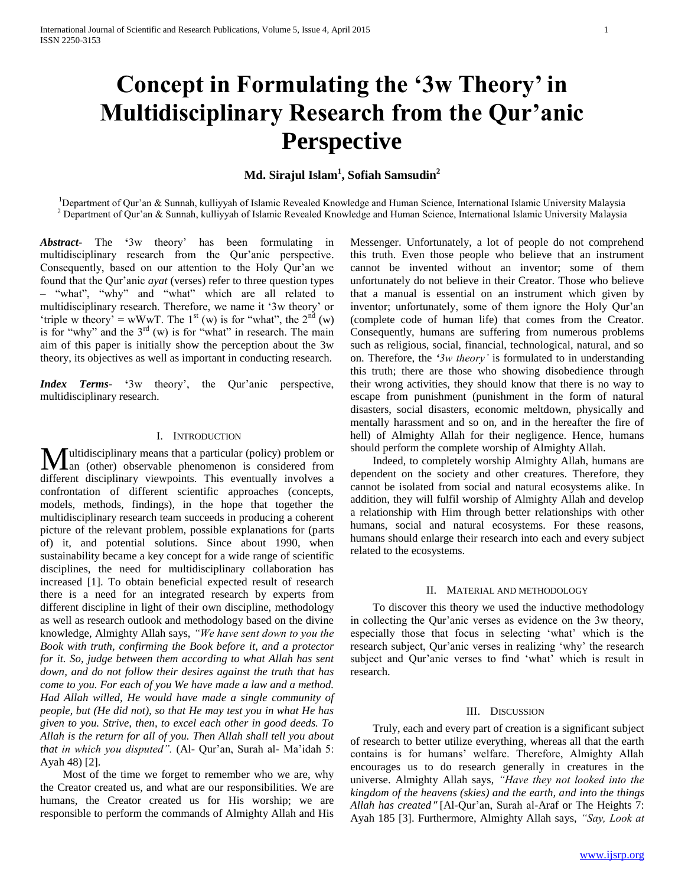# **Concept in Formulating the '3w Theory' in Multidisciplinary Research from the Qur'anic Perspective**

# **Md. Sirajul Islam<sup>1</sup> , Sofiah Samsudin<sup>2</sup>**

<sup>1</sup>Department of Qur'an & Sunnah, kulliyyah of Islamic Revealed Knowledge and Human Science, International Islamic University Malaysia  $2$  Department of Qur'an & Sunnah, kulliyyah of Islamic Revealed Knowledge and Human Science, International Islamic University Malaysia

*Abstract***-** The **'**3w theory' has been formulating in multidisciplinary research from the Qur'anic perspective. Consequently, based on our attention to the Holy Qur'an we found that the Qur'anic *ayat* (verses) refer to three question types – "what", "why" and "what" which are all related to multidisciplinary research. Therefore, we name it '3w theory' or 'triple w theory' = wWwT. The  $1^{st}$  (w) is for "what", the  $2^{nd}$  (w) is for "why" and the  $3<sup>rd</sup>$  (w) is for "what" in research. The main aim of this paper is initially show the perception about the 3w theory, its objectives as well as important in conducting research.

*Index Terms*- **'**3w theory', the Qur'anic perspective, multidisciplinary research.

# I. INTRODUCTION

Iultidisciplinary means that a particular (policy) problem or **M**ultidisciplinary means that a particular (policy) problem or<br>
an (other) observable phenomenon is considered from different disciplinary viewpoints. This eventually involves a confrontation of different scientific approaches (concepts, models, methods, findings), in the hope that together the multidisciplinary research team succeeds in producing a coherent picture of the relevant problem, possible explanations for (parts of) it, and potential solutions. Since about 1990, when sustainability became a key concept for a wide range of scientific disciplines, the need for multidisciplinary collaboration has increased [1]. To obtain beneficial expected result of research there is a need for an integrated research by experts from different discipline in light of their own discipline, methodology as well as research outlook and methodology based on the divine knowledge, Almighty Allah says, *"We have sent down to you the Book with truth, confirming the Book before it, and a protector for it. So, judge between them according to what Allah has sent down, and do not follow their desires against the truth that has come to you. For each of you We have made a law and a method. Had Allah willed, He would have made a single community of people, but (He did not), so that He may test you in what He has given to you. Strive, then, to excel each other in good deeds. To Allah is the return for all of you. Then Allah shall tell you about that in which you disputed".* (Al- Qur'an, Surah al- Ma'idah 5: Ayah 48) [2].

 Most of the time we forget to remember who we are, why the Creator created us, and what are our responsibilities. We are humans, the Creator created us for His worship; we are responsible to perform the commands of Almighty Allah and His Messenger. Unfortunately, a lot of people do not comprehend this truth. Even those people who believe that an instrument cannot be invented without an inventor; some of them unfortunately do not believe in their Creator. Those who believe that a manual is essential on an instrument which given by inventor; unfortunately, some of them ignore the Holy Qur'an (complete code of human life) that comes from the Creator. Consequently, humans are suffering from numerous problems such as religious, social, financial, technological, natural, and so on. Therefore, the *'3w theory'* is formulated to in understanding this truth; there are those who showing disobedience through their wrong activities, they should know that there is no way to escape from punishment (punishment in the form of natural disasters, social disasters, economic meltdown, physically and mentally harassment and so on, and in the hereafter the fire of hell) of Almighty Allah for their negligence. Hence, humans should perform the complete worship of Almighty Allah.

 Indeed, to completely worship Almighty Allah, humans are dependent on the society and other creatures. Therefore, they cannot be isolated from social and natural ecosystems alike. In addition, they will fulfil worship of Almighty Allah and develop a relationship with Him through better relationships with other humans, social and natural ecosystems. For these reasons, humans should enlarge their research into each and every subject related to the ecosystems.

### II. MATERIAL AND METHODOLOGY

 To discover this theory we used the inductive methodology in collecting the Qur'anic verses as evidence on the 3w theory, especially those that focus in selecting 'what' which is the research subject, Qur'anic verses in realizing 'why' the research subject and Qur'anic verses to find 'what' which is result in research.

#### III. DISCUSSION

 Truly, each and every part of creation is a significant subject of research to better utilize everything, whereas all that the earth contains is for humans' welfare. Therefore, Almighty Allah encourages us to do research generally in creatures in the universe. Almighty Allah says, *"Have they not looked into the kingdom of the heavens (skies) and the earth, and into the things Allah has created*" [Al-Qur'an, Surah al-Araf or The Heights 7: Ayah 185 [3]. Furthermore, Almighty Allah says, *"Say, Look at*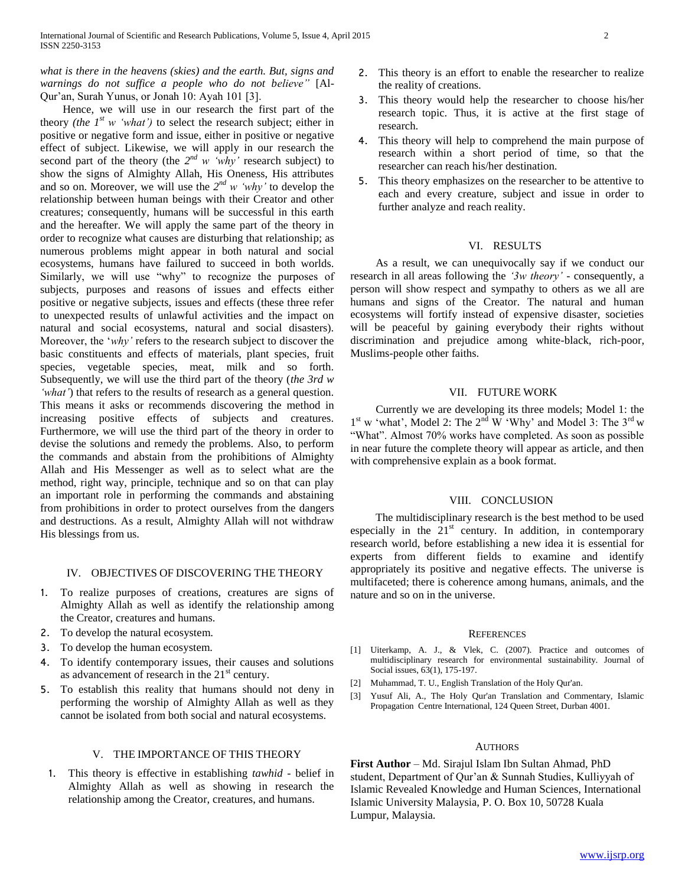*what is there in the heavens (skies) and the earth. But, signs and warnings do not suffice a people who do not believe"* [Al-Qur'an, Surah Yunus, or Jonah 10: Ayah 101 [3].

 Hence, we will use in our research the first part of the theory *(the*  $1^{st}$  *w 'what')* to select the research subject; either in positive or negative form and issue, either in positive or negative effect of subject. Likewise, we will apply in our research the second part of the theory (the  $2^{nd}$  *w* 'why' research subject) to show the signs of Almighty Allah, His Oneness, His attributes and so on. Moreover, we will use the  $2^{nd}$  *w* '*why*' to develop the relationship between human beings with their Creator and other creatures; consequently, humans will be successful in this earth and the hereafter. We will apply the same part of the theory in order to recognize what causes are disturbing that relationship; as numerous problems might appear in both natural and social ecosystems, humans have failured to succeed in both worlds. Similarly, we will use "why" to recognize the purposes of subjects, purposes and reasons of issues and effects either positive or negative subjects, issues and effects (these three refer to unexpected results of unlawful activities and the impact on natural and social ecosystems, natural and social disasters). Moreover, the '*why'* refers to the research subject to discover the basic constituents and effects of materials, plant species, fruit species, vegetable species, meat, milk and so forth. Subsequently, we will use the third part of the theory (*the 3rd w 'what'*) that refers to the results of research as a general question. This means it asks or recommends discovering the method in increasing positive effects of subjects and creatures. Furthermore, we will use the third part of the theory in order to devise the solutions and remedy the problems. Also, to perform the commands and abstain from the prohibitions of Almighty Allah and His Messenger as well as to select what are the method, right way, principle, technique and so on that can play an important role in performing the commands and abstaining from prohibitions in order to protect ourselves from the dangers and destructions. As a result, Almighty Allah will not withdraw His blessings from us.

# IV. OBJECTIVES OF DISCOVERING THE THEORY

- 1. To realize purposes of creations, creatures are signs of Almighty Allah as well as identify the relationship among the Creator, creatures and humans.
- 2. To develop the natural ecosystem.
- 3. To develop the human ecosystem.
- 4. To identify contemporary issues, their causes and solutions as advancement of research in the  $21<sup>st</sup>$  century.
- 5. To establish this reality that humans should not deny in performing the worship of Almighty Allah as well as they cannot be isolated from both social and natural ecosystems.

## V. THE IMPORTANCE OF THIS THEORY

1. This theory is effective in establishing *tawhid* - belief in Almighty Allah as well as showing in research the relationship among the Creator, creatures, and humans.

- 2. This theory is an effort to enable the researcher to realize the reality of creations.
- 3. This theory would help the researcher to choose his/her research topic. Thus, it is active at the first stage of research.
- 4. This theory will help to comprehend the main purpose of research within a short period of time, so that the researcher can reach his/her destination.
- 5. This theory emphasizes on the researcher to be attentive to each and every creature, subject and issue in order to further analyze and reach reality.

### VI. RESULTS

 As a result, we can unequivocally say if we conduct our research in all areas following the *'3w theory'* - consequently, a person will show respect and sympathy to others as we all are humans and signs of the Creator. The natural and human ecosystems will fortify instead of expensive disaster, societies will be peaceful by gaining everybody their rights without discrimination and prejudice among white-black, rich-poor, Muslims-people other faiths.

#### VII. FUTURE WORK

 Currently we are developing its three models; Model 1: the  $1<sup>st</sup>$  w 'what', Model 2: The  $2<sup>nd</sup>$  W 'Why' and Model 3: The  $3<sup>rd</sup>$  w "What". Almost 70% works have completed. As soon as possible in near future the complete theory will appear as article, and then with comprehensive explain as a book format.

## VIII. CONCLUSION

 The multidisciplinary research is the best method to be used especially in the  $21<sup>st</sup>$  century. In addition, in contemporary research world, before establishing a new idea it is essential for experts from different fields to examine and identify appropriately its positive and negative effects. The universe is multifaceted; there is coherence among humans, animals, and the nature and so on in the universe.

#### **REFERENCES**

- [1] Uiterkamp, A. J., & Vlek, C. (2007). Practice and outcomes of multidisciplinary research for environmental sustainability. Journal of Social issues, 63(1), 175-197.
- [2] Muhammad, T. U., English Translation of the Holy Qur'an.
- [3] Yusuf Ali, A., The Holy Qur'an Translation and Commentary, Islamic Propagation Centre International, 124 Queen Street, Durban 4001.

#### **AUTHORS**

**First Author** – Md. Sirajul Islam Ibn Sultan Ahmad, PhD student, Department of Qur'an & Sunnah Studies, Kulliyyah of Islamic Revealed Knowledge and Human Sciences, International Islamic University Malaysia, P. O. Box 10, 50728 Kuala Lumpur, Malaysia.